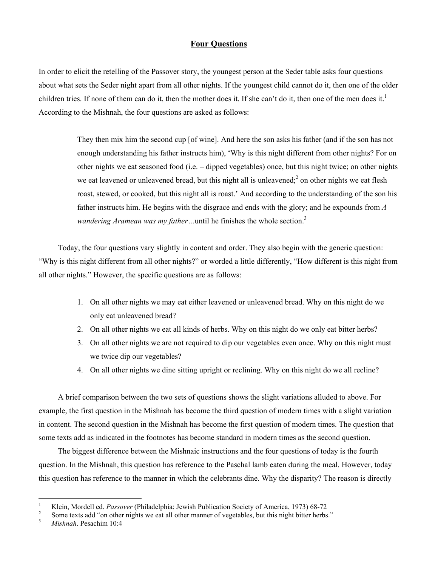## **Four Questions**

In order to elicit the retelling of the Passover story, the youngest person at the Seder table asks four questions about what sets the Seder night apart from all other nights. If the youngest child cannot do it, then one of the older children tries. If none of them can do it, then the mother does it. If she can't do it, then one of the men does it.<sup>[1](#page-0-0)</sup> According to the Mishnah, the four questions are asked as follows:

> They then mix him the second cup [of wine]. And here the son asks his father (and if the son has not enough understanding his father instructs him), 'Why is this night different from other nights? For on other nights we eat seasoned food (i.e. – dipped vegetables) once, but this night twice; on other nights we eat leavened or unleavened bread, but this night all is unleavened;  $2$  on other nights we eat flesh roast, stewed, or cooked, but this night all is roast.' And according to the understanding of the son his father instructs him. He begins with the disgrace and ends with the glory; and he expounds from *A wandering Aramean was my father* ... until he finishes the whole section.<sup>[3](#page-0-2)</sup>

Today, the four questions vary slightly in content and order. They also begin with the generic question: "Why is this night different from all other nights?" or worded a little differently, "How different is this night from all other nights." However, the specific questions are as follows:

- 1. On all other nights we may eat either leavened or unleavened bread. Why on this night do we only eat unleavened bread?
- 2. On all other nights we eat all kinds of herbs. Why on this night do we only eat bitter herbs?
- 3. On all other nights we are not required to dip our vegetables even once. Why on this night must we twice dip our vegetables?
- 4. On all other nights we dine sitting upright or reclining. Why on this night do we all recline?

A brief comparison between the two sets of questions shows the slight variations alluded to above. For example, the first question in the Mishnah has become the third question of modern times with a slight variation in content. The second question in the Mishnah has become the first question of modern times. The question that some texts add as indicated in the footnotes has become standard in modern times as the second question.

The biggest difference between the Mishnaic instructions and the four questions of today is the fourth question. In the Mishnah, this question has reference to the Paschal lamb eaten during the meal. However, today this question has reference to the manner in which the celebrants dine. Why the disparity? The reason is directly

<span id="page-0-0"></span> $\frac{1}{1}$ Klein, Mordell ed. *Passover* (Philadelphia: Jewish Publication Society of America, 1973) 68-72<br><sup>2</sup> Same tarts add "socialized with the socialized with the property of the socialized by the sight bitter harbor

<span id="page-0-1"></span>Some texts add "on other nights we eat all other manner of vegetables, but this night bitter herbs."

<span id="page-0-2"></span><sup>3</sup> *Mishnah*. Pesachim 10:4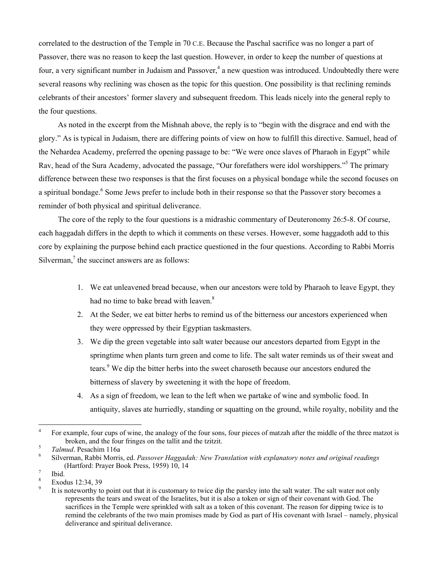correlated to the destruction of the Temple in 70 C.E. Because the Paschal sacrifice was no longer a part of Passover, there was no reason to keep the last question. However, in order to keep the number of questions at four, a very significant number in Judaism and Passover,<sup>[4](#page-1-0)</sup> a new question was introduced. Undoubtedly there were several reasons why reclining was chosen as the topic for this question. One possibility is that reclining reminds celebrants of their ancestors' former slavery and subsequent freedom. This leads nicely into the general reply to the four questions.

As noted in the excerpt from the Mishnah above, the reply is to "begin with the disgrace and end with the glory." As is typical in Judaism, there are differing points of view on how to fulfill this directive. Samuel, head of the Nehardea Academy, preferred the opening passage to be: "We were once slaves of Pharaoh in Egypt" while Rav, head of the Sura Academy, advocated the passage, "Our forefathers were idol worshippers."<sup>5</sup> The primary difference between these two responses is that the first focuses on a physical bondage while the second focuses on a spiritual bondage.<sup>[6](#page-1-2)</sup> Some Jews prefer to include both in their response so that the Passover story becomes a reminder of both physical and spiritual deliverance.

The core of the reply to the four questions is a midrashic commentary of Deuteronomy 26:5-8. Of course, each haggadah differs in the depth to which it comments on these verses. However, some haggadoth add to this core by explaining the purpose behind each practice questioned in the four questions. According to Rabbi Morris Silverman, $\frac{7}{7}$  $\frac{7}{7}$  $\frac{7}{7}$  the succinct answers are as follows:

- 1. We eat unleavened bread because, when our ancestors were told by Pharaoh to leave Egypt, they had no time to bake bread with leaven.<sup>8</sup>
- 2. At the Seder, we eat bitter herbs to remind us of the bitterness our ancestors experienced when they were oppressed by their Egyptian taskmasters.
- 3. We dip the green vegetable into salt water because our ancestors departed from Egypt in the springtime when plants turn green and come to life. The salt water reminds us of their sweat and tears.<sup>[9](#page-1-5)</sup> We dip the bitter herbs into the sweet charoseth because our ancestors endured the bitterness of slavery by sweetening it with the hope of freedom.
- 4. As a sign of freedom, we lean to the left when we partake of wine and symbolic food. In antiquity, slaves ate hurriedly, standing or squatting on the ground, while royalty, nobility and the

<span id="page-1-0"></span> $\frac{1}{4}$  For example, four cups of wine, the analogy of the four sons, four pieces of matzah after the middle of the three matzot is broken, and the four fringes on the tallit and the tzitzit.

<span id="page-1-1"></span> $T$ *almud*. Pesachim 116a

<span id="page-1-2"></span>Silverman, Rabbi Morris, ed. *Passover Haggadah: New Translation with explanatory notes and original readings* (Hartford: Prayer Book Press, 1959) 10, 14

<span id="page-1-3"></span>Ibid.

<span id="page-1-4"></span><sup>8</sup> Exodus 12:34, 39

<span id="page-1-5"></span><sup>9</sup> It is noteworthy to point out that it is customary to twice dip the parsley into the salt water. The salt water not only represents the tears and sweat of the Israelites, but it is also a token or sign of their covenant with God. The sacrifices in the Temple were sprinkled with salt as a token of this covenant. The reason for dipping twice is to remind the celebrants of the two main promises made by God as part of His covenant with Israel – namely, physical deliverance and spiritual deliverance.